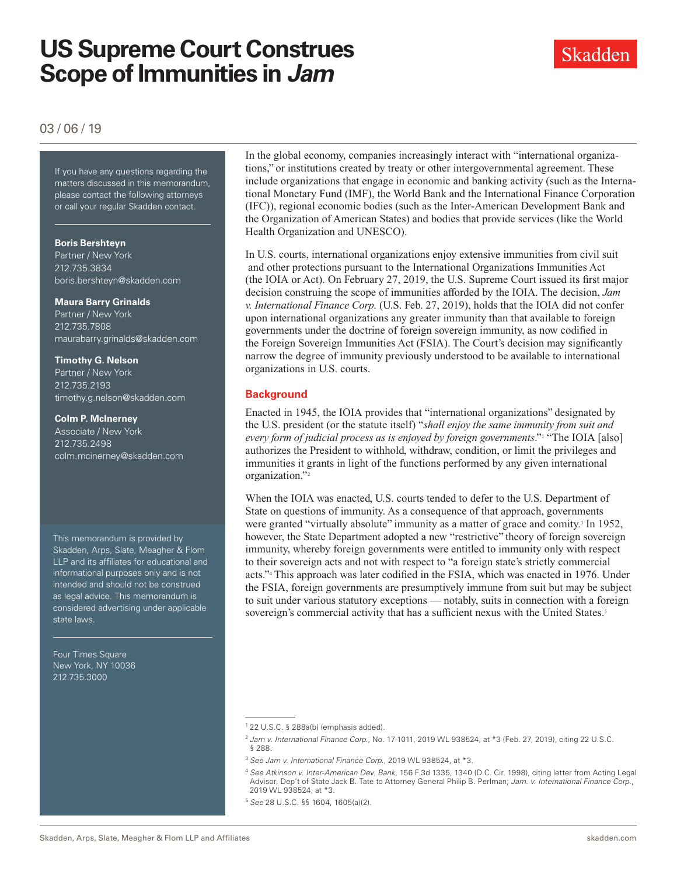

### 03 / 06 / 19

If you have any questions regarding If you have any questions regarding the matters discussed in this memorandum, please contact the following attorneys or call your regular Skadden contact.

#### **Boris Bershteyn**

Partner / New York 212.735.3834 boris.bershteyn@skadden.com

#### **Maura Barry Grinalds**

Partner / New York 212.735.7808 maurabarry.grinalds@skadden.com

**Timothy G. Nelson**  Partner / New York 212.735.2193 timothy.g.nelson@skadden.com

#### **Colm P. McInerney**

Associate / New York 212.735.2498 colm.mcinerney@skadden.com

This memorandum is provided by Skadden, Arps, Slate, Meagher & Flom LLP and its affiliates for educational and informational purposes only and is not intended and should not be construed as legal advice. This memorandum is considered advertising under applicable state laws.

Four Times Square New York, NY 10036 212.735.3000

In the global economy, companies increasingly interact with "international organizations," or institutions created by treaty or other intergovernmental agreement. These include organizations that engage in economic and banking activity (such as the International Monetary Fund (IMF), the World Bank and the International Finance Corporation (IFC)), regional economic bodies (such as the Inter-American Development Bank and the Organization of American States) and bodies that provide services (like the World Health Organization and UNESCO).

In U.S. courts, international organizations enjoy extensive immunities from civil suit and other protections pursuant to the International Organizations Immunities Act (the IOIA or Act). On February 27, 2019, the U.S. Supreme Court issued its first major decision construing the scope of immunities afforded by the IOIA. The decision, *Jam v. International Finance Corp.* (U.S. Feb. 27, 2019), holds that the IOIA did not confer upon international organizations any greater immunity than that available to foreign governments under the doctrine of foreign sovereign immunity, as now codified in the Foreign Sovereign Immunities Act (FSIA). The Court's decision may significantly narrow the degree of immunity previously understood to be available to international organizations in U.S. courts.

#### **Background**

Enacted in 1945, the IOIA provides that "international organizations" designated by the U.S. president (or the statute itself) "*shall enjoy the same immunity from suit and every form of judicial process as is enjoyed by foreign governments*."1 "The IOIA [also] authorizes the President to withhold, withdraw, condition, or limit the privileges and immunities it grants in light of the functions performed by any given international organization."2

When the IOIA was enacted, U.S. courts tended to defer to the U.S. Department of State on questions of immunity. As a consequence of that approach, governments were granted "virtually absolute" immunity as a matter of grace and comity.<sup>3</sup> In 1952, however, the State Department adopted a new "restrictive" theory of foreign sovereign immunity, whereby foreign governments were entitled to immunity only with respect to their sovereign acts and not with respect to "a foreign state's strictly commercial acts."4 This approach was later codified in the FSIA, which was enacted in 1976. Under the FSIA, foreign governments are presumptively immune from suit but may be subject to suit under various statutory exceptions — notably, suits in connection with a foreign sovereign's commercial activity that has a sufficient nexus with the United States.<sup>5</sup>

<sup>1</sup> 22 U.S.C. § 288a(b) (emphasis added).

<sup>2</sup> *Jam v. International Finance Corp*., No. 17-1011, 2019 WL 938524, at \*3 (Feb. 27, 2019), citing 22 U.S.C. § 288.

<sup>3</sup> *See Jam v. International Finance Corp.*, 2019 WL 938524, at \*3.

<sup>4</sup> *See Atkinson v. Inter-American Dev. Bank*, 156 F.3d 1335, 1340 (D.C. Cir. 1998), citing letter from Acting Legal Advisor, Dep't of State Jack B. Tate to Attorney General Philip B. Perlman; *Jam. v. International Finance Corp.*, 2019 WL 938524, at \*3.

<sup>5</sup> *See* 28 U.S.C. §§ 1604, 1605(a)(2).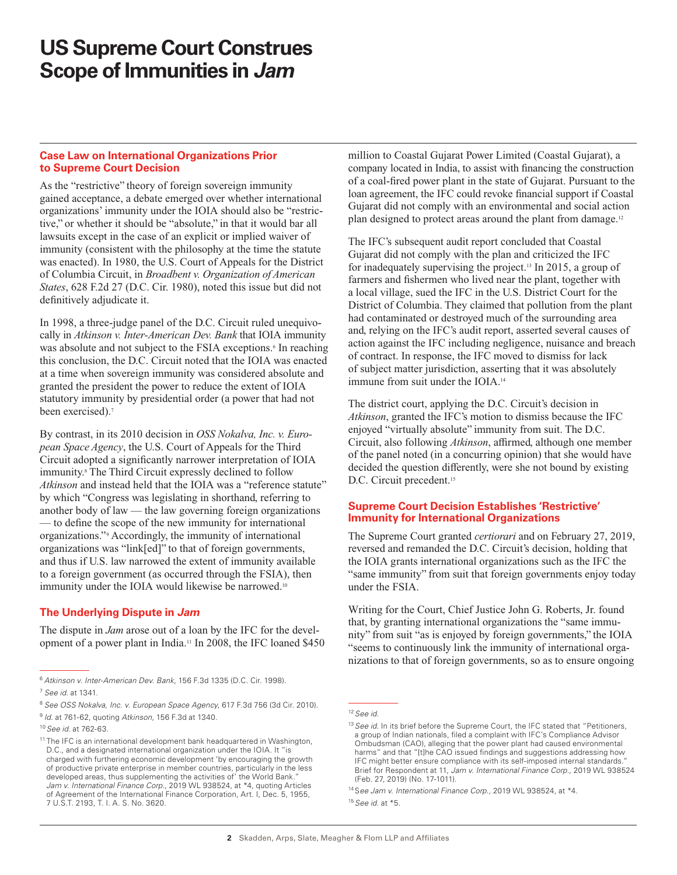#### **Case Law on International Organizations Prior to Supreme Court Decision**

As the "restrictive" theory of foreign sovereign immunity gained acceptance, a debate emerged over whether international organizations' immunity under the IOIA should also be "restrictive," or whether it should be "absolute," in that it would bar all lawsuits except in the case of an explicit or implied waiver of immunity (consistent with the philosophy at the time the statute was enacted). In 1980, the U.S. Court of Appeals for the District of Columbia Circuit, in *Broadbent v. Organization of American States*, 628 F.2d 27 (D.C. Cir. 1980), noted this issue but did not definitively adjudicate it.

In 1998, a three-judge panel of the D.C. Circuit ruled unequivocally in *Atkinson v. Inter-American Dev. Bank* that IOIA immunity was absolute and not subject to the FSIA exceptions.<sup>6</sup> In reaching this conclusion, the D.C. Circuit noted that the IOIA was enacted at a time when sovereign immunity was considered absolute and granted the president the power to reduce the extent of IOIA statutory immunity by presidential order (a power that had not been exercised).<sup>7</sup>

By contrast, in its 2010 decision in *OSS Nokalva, Inc. v. European Space Agency*, the U.S. Court of Appeals for the Third Circuit adopted a significantly narrower interpretation of IOIA immunity.<sup>8</sup> The Third Circuit expressly declined to follow *Atkinson* and instead held that the IOIA was a "reference statute" by which "Congress was legislating in shorthand, referring to another body of law — the law governing foreign organizations — to define the scope of the new immunity for international organizations."9 Accordingly, the immunity of international organizations was "link[ed]" to that of foreign governments, and thus if U.S. law narrowed the extent of immunity available to a foreign government (as occurred through the FSIA), then immunity under the IOIA would likewise be narrowed.<sup>10</sup>

### **The Underlying Dispute in** *Jam*

The dispute in *Jam* arose out of a loan by the IFC for the development of a power plant in India.11 In 2008, the IFC loaned \$450 million to Coastal Gujarat Power Limited (Coastal Gujarat), a company located in India, to assist with financing the construction of a coal-fired power plant in the state of Gujarat. Pursuant to the loan agreement, the IFC could revoke financial support if Coastal Gujarat did not comply with an environmental and social action plan designed to protect areas around the plant from damage.12

The IFC's subsequent audit report concluded that Coastal Gujarat did not comply with the plan and criticized the IFC for inadequately supervising the project.13 In 2015, a group of farmers and fishermen who lived near the plant, together with a local village, sued the IFC in the U.S. District Court for the District of Columbia. They claimed that pollution from the plant had contaminated or destroyed much of the surrounding area and, relying on the IFC's audit report, asserted several causes of action against the IFC including negligence, nuisance and breach of contract. In response, the IFC moved to dismiss for lack of subject matter jurisdiction, asserting that it was absolutely immune from suit under the IOIA.14

The district court, applying the D.C. Circuit's decision in *Atkinson*, granted the IFC's motion to dismiss because the IFC enjoyed "virtually absolute" immunity from suit. The D.C. Circuit, also following *Atkinson*, affirmed, although one member of the panel noted (in a concurring opinion) that she would have decided the question differently, were she not bound by existing D.C. Circuit precedent.<sup>15</sup>

#### **Supreme Court Decision Establishes 'Restrictive' Immunity for International Organizations**

The Supreme Court granted *certiorari* and on February 27, 2019, reversed and remanded the D.C. Circuit's decision, holding that the IOIA grants international organizations such as the IFC the "same immunity" from suit that foreign governments enjoy today under the FSIA.

Writing for the Court, Chief Justice John G. Roberts, Jr. found that, by granting international organizations the "same immunity" from suit "as is enjoyed by foreign governments," the IOIA "seems to continuously link the immunity of international organizations to that of foreign governments, so as to ensure ongoing

<sup>6</sup> *Atkinson v. Inter-American Dev. Bank*, 156 F.3d 1335 (D.C. Cir. 1998). <sup>7</sup> *See id.* at 1341.

<sup>8</sup> *See OSS Nokalva, Inc. v. European Space Agency*, 617 F.3d 756 (3d Cir. 2010). <sup>9</sup> *Id*. at 761-62, quoting *Atkinson*, 156 F.3d at 1340.

<sup>10</sup>*See id.* at 762-63.

<sup>&</sup>lt;sup>11</sup> The IFC is an international development bank headquartered in Washington, D.C., and a designated international organization under the IOIA. It "is charged with furthering economic development 'by encouraging the growth of productive private enterprise in member countries, particularly in the less developed areas, thus supplementing the activities of' the World Bank." *Jam v. International Finance Corp.*, 2019 WL 938524, at \*4, quoting Articles of Agreement of the International Finance Corporation, Art. I, Dec. 5, 1955, 7 U.S.T. 2193, T. I. A. S. No. 3620.

<sup>12</sup>*See id.* 

<sup>&</sup>lt;sup>13</sup> See id. In its brief before the Supreme Court, the IFC stated that "Petitioners, a group of Indian nationals, filed a complaint with IFC's Compliance Advisor Ombudsman (CAO), alleging that the power plant had caused environmental harms" and that "[t]he CAO issued findings and suggestions addressing how IFC might better ensure compliance with its self-imposed internal standards." Brief for Respondent at 11, *Jam v. International Finance Corp*., 2019 WL 938524 (Feb. 27, 2019) (No. 17-1011).

<sup>14</sup>S*ee Jam v. International Finance Corp.*, 2019 WL 938524, at \*4.

<sup>15</sup>*See id.* at \*5.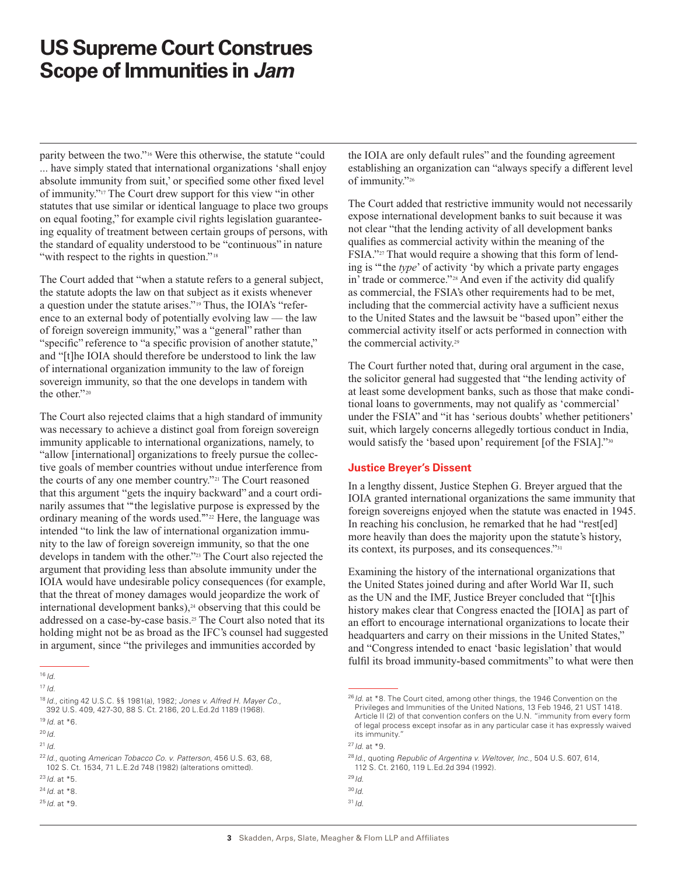parity between the two."16 Were this otherwise, the statute "could ... have simply stated that international organizations 'shall enjoy absolute immunity from suit,' or specified some other fixed level of immunity."17 The Court drew support for this view "in other statutes that use similar or identical language to place two groups on equal footing," for example civil rights legislation guaranteeing equality of treatment between certain groups of persons, with the standard of equality understood to be "continuous" in nature "with respect to the rights in question."<sup>18</sup>

The Court added that "when a statute refers to a general subject, the statute adopts the law on that subject as it exists whenever a question under the statute arises."19 Thus, the IOIA's "reference to an external body of potentially evolving law — the law of foreign sovereign immunity," was a "general" rather than "specific" reference to "a specific provision of another statute," and "[t]he IOIA should therefore be understood to link the law of international organization immunity to the law of foreign sovereign immunity, so that the one develops in tandem with the other."<sup>20</sup>

The Court also rejected claims that a high standard of immunity was necessary to achieve a distinct goal from foreign sovereign immunity applicable to international organizations, namely, to "allow [international] organizations to freely pursue the collective goals of member countries without undue interference from the courts of any one member country."21 The Court reasoned that this argument "gets the inquiry backward" and a court ordinarily assumes that "'the legislative purpose is expressed by the ordinary meaning of the words used."<sup>22</sup> Here, the language was intended "to link the law of international organization immunity to the law of foreign sovereign immunity, so that the one develops in tandem with the other."23 The Court also rejected the argument that providing less than absolute immunity under the IOIA would have undesirable policy consequences (for example, that the threat of money damages would jeopardize the work of international development banks),<sup>24</sup> observing that this could be addressed on a case-by-case basis.25 The Court also noted that its holding might not be as broad as the IFC's counsel had suggested in argument, since "the privileges and immunities accorded by

<sup>16</sup> *Id*.

<sup>19</sup> *Id*. at \*6.

<sup>21</sup> *Id*.

the IOIA are only default rules" and the founding agreement establishing an organization can "always specify a different level of immunity."26

The Court added that restrictive immunity would not necessarily expose international development banks to suit because it was not clear "that the lending activity of all development banks qualifies as commercial activity within the meaning of the FSIA."27 That would require a showing that this form of lending is "'the *type*' of activity 'by which a private party engages in' trade or commerce."<sup>28</sup> And even if the activity did qualify as commercial, the FSIA's other requirements had to be met, including that the commercial activity have a sufficient nexus to the United States and the lawsuit be "based upon" either the commercial activity itself or acts performed in connection with the commercial activity.29

The Court further noted that, during oral argument in the case, the solicitor general had suggested that "the lending activity of at least some development banks, such as those that make conditional loans to governments, may not qualify as 'commercial' under the FSIA" and "it has 'serious doubts' whether petitioners' suit, which largely concerns allegedly tortious conduct in India, would satisfy the 'based upon' requirement [of the FSIA]."30

### **Justice Breyer's Dissent**

In a lengthy dissent, Justice Stephen G. Breyer argued that the IOIA granted international organizations the same immunity that foreign sovereigns enjoyed when the statute was enacted in 1945. In reaching his conclusion, he remarked that he had "rest[ed] more heavily than does the majority upon the statute's history, its context, its purposes, and its consequences."31

Examining the history of the international organizations that the United States joined during and after World War II, such as the UN and the IMF, Justice Breyer concluded that "[t]his history makes clear that Congress enacted the [IOIA] as part of an effort to encourage international organizations to locate their headquarters and carry on their missions in the United States," and "Congress intended to enact 'basic legislation' that would fulfil its broad immunity-based commitments" to what were then

<sup>17</sup> *Id*.

<sup>18</sup> *Id*., citing 42 U.S.C. §§ 1981(a), 1982; *Jones v. Alfred H. Mayer Co.*, 392 U.S. 409, 427-30, 88 S. Ct. 2186, 20 L.Ed.2d 1189 (1968).

<sup>20</sup> *Id*.

<sup>22</sup>*Id*., quoting *American Tobacco Co. v. Patterson*, 456 U.S. 63, 68, 102 S. Ct. 1534, 71 L.E.2d 748 (1982) (alterations omitted).

<sup>23</sup>*Id*. at \*5.

<sup>24</sup> *Id*. at \*8.

<sup>25</sup> *Id*. at \*9.

<sup>&</sup>lt;sup>26</sup> *Id.* at \*8. The Court cited, among other things, the 1946 Convention on the Privileges and Immunities of the United Nations, 13 Feb 1946, 21 UST 1418. Article II (2) of that convention confers on the U.N. "immunity from every form of legal process except insofar as in any particular case it has expressly waived its immunity."

<sup>27</sup> *Id*. at \*9.

<sup>28</sup> *Id*., quoting *Republic of Argentina v. Weltover, Inc.*, 504 U.S. 607, 614, 112 S. Ct. 2160, 119 L.Ed.2d 394 (1992).

<sup>29</sup> *Id*.

<sup>30</sup>*Id*.

 $31/d$ .